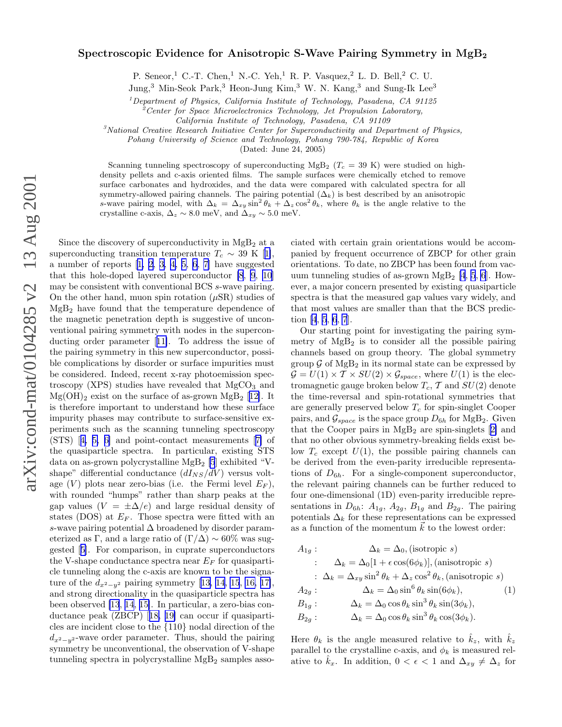## <span id="page-0-0"></span>Spectroscopic Evidence for Anisotropic S-Wave Pairing Symmetry in  $MgB<sub>2</sub>$

P. Seneor,<sup>1</sup> C.-T. Chen,<sup>1</sup> N.-C. Yeh,<sup>1</sup> R. P. Vasquez,<sup>2</sup> L. D. Bell,<sup>2</sup> C. U.

Jung,<sup>3</sup> Min-Seok Park,<sup>3</sup> Heon-Jung Kim,<sup>3</sup> W. N. Kang,<sup>3</sup> and Sung-Ik Lee<sup>3</sup>

 $1$ Department of Physics, California Institute of Technology, Pasadena, CA 91125

 $2^{\circ}$ Center for Space Microelectronics Technology, Jet Propulsion Laboratory,

California Institute of Technology, Pasadena, CA 91109

 ${}^{3}$ National Creative Research Initiative Center for Superconductivity and Department of Physics,

Pohang University of Science and Technology, Pohang 790-784, Republic of Korea

(Dated: June 24, 2005)

Scanning tunneling spectroscopy of superconducting MgB<sub>2</sub> ( $T_c$  = 39 K) were studied on highdensity pellets and c-axis oriented films. The sample surfaces were chemically etched to remove surface carbonates and hydroxides, and the data were compared with calculated spectra for all symmetry-allowed pairing channels. The pairing potential  $(\Delta_k)$  is best described by an anisotropic s-wave pairing model, with  $\Delta_k = \Delta_{xy} \sin^2 \theta_k + \Delta_z \cos^2 \theta_k$ , where  $\theta_k$  is the angle relative to the crystalline c-axis,  $\Delta_z \sim 8.0$  meV, and  $\Delta_{xy} \sim 5.0$  meV.

Since the discovery of superconductivity in  $MgB<sub>2</sub>$  at a superconductingtransition temperature  $T_c \sim 39 \text{ K}$  [[1\]](#page-3-0), anumber of reports  $\begin{bmatrix} 1, 2, 3, 4, 5, 6, 7 \end{bmatrix}$  have suggested that this hole-doped layered superconductor [\[8](#page-3-0), [9](#page-3-0), [10](#page-3-0)] may be consistent with conventional BCS s-wave pairing. On the other hand, muon spin rotation  $(\mu SR)$  studies of MgB<sup>2</sup> have found that the temperature dependence of the magnetic penetration depth is suggestive of unconventional pairing symmetry with nodes in the superconducting order parameter[[11\]](#page-3-0). To address the issue of the pairing symmetry in this new superconductor, possible complications by disorder or surface impurities must be considered. Indeed, recent x-ray photoemission spectroscopy (XPS) studies have revealed that  $MgCO<sub>3</sub>$  and  $Mg(OH)_2$  exist on the surface of as-grown  $MgB_2$  [[12\]](#page-3-0). It is therefore important to understand how these surface impurity phases may contribute to surface-sensitive experiments such as the scanning tunneling spectroscopy (STS)[[4, 5, 6\]](#page-3-0) and point-contact measurements[[7\]](#page-3-0) of the quasiparticle spectra. In particular, existing STS data on as-grown polycrystalline  $MgB_2$  [\[5](#page-3-0)] exhibited "Vshape" differential conductance  $(dI_{NS}/dV)$  versus voltage  $(V)$  plots near zero-bias (i.e. the Fermi level  $E_F$ ), with rounded "humps" rather than sharp peaks at the gap values  $(V = \pm \Delta/e)$  and large residual density of states (DOS) at  $E_F$ . Those spectra were fitted with an s-wave pairing potential ∆ broadened by disorder parameterized as Γ, and a large ratio of  $(\Gamma/\Delta) \sim 60\%$  was suggested[[5\]](#page-3-0). For comparison, in cuprate superconductors the V-shape conductance spectra near  $E_F$  for quasiparticle tunneling along the c-axis are known to be the signature of the  $d_{x^2-y^2}$  pairing symmetry [\[13, 14](#page-3-0), [15](#page-3-0), [16, 17\]](#page-3-0), and strong directionality in the quasiparticle spectra has been observed [\[13](#page-3-0), [14](#page-3-0), [15\]](#page-3-0). In particular, a zero-bias conductance peak (ZBCP)[[18, 19\]](#page-3-0) can occur if quasiparticles are incident close to the {110} nodal direction of the  $d_{x^2-y^2}$ -wave order parameter. Thus, should the pairing symmetry be unconventional, the observation of V-shape tunneling spectra in polycrystalline  $MgB<sub>2</sub>$  samples associated with certain grain orientations would be accompanied by frequent occurrence of ZBCP for other grain orientations. To date, no ZBCP has been found from vacuum tunneling studies of as-grown  $MgB_2$  [\[4](#page-3-0), [5](#page-3-0), [6](#page-3-0)]. However, a major concern presented by existing quasiparticle spectra is that the measured gap values vary widely, and that most values are smaller than that the BCS prediction [\[4](#page-3-0), [5](#page-3-0), [6](#page-3-0), [7](#page-3-0)].

Our starting point for investigating the pairing symmetry of  $MgB<sub>2</sub>$  is to consider all the possible pairing channels based on group theory. The global symmetry group  $\mathcal G$  of MgB<sub>2</sub> in its normal state can be expressed by  $\mathcal{G} = U(1) \times \mathcal{T} \times SU(2) \times \mathcal{G}_{space}$ , where  $U(1)$  is the electromagnetic gauge broken below  $T_c$ ,  $\mathcal T$  and  $SU(2)$  denote the time-reversal and spin-rotational symmetries that are generally preserved below  $T_c$  for spin-singlet Cooper pairs, and  $\mathcal{G}_{space}$  is the space group  $D_{6h}$  for MgB<sub>2</sub>. Given thatthe Cooper pairs in  $MgB<sub>2</sub>$  are spin-singlets [[2\]](#page-3-0) and that no other obvious symmetry-breaking fields exist below  $T_c$  except  $U(1)$ , the possible pairing channels can be derived from the even-parity irreducible representations of  $D_{6h}$ . For a single-component superconductor, the relevant pairing channels can be further reduced to four one-dimensional (1D) even-parity irreducible representations in  $D_{6h}$ :  $A_{1g}$ ,  $A_{2g}$ ,  $B_{1g}$  and  $B_{2g}$ . The pairing potentials  $\Delta_k$  for these representations can be expressed as a function of the momentum  $\vec{k}$  to the lowest order:

$$
A_{1g}: \Delta_k = \Delta_0, \text{(isotropic } s)
$$
  
\n
$$
\therefore \Delta_k = \Delta_0[1 + \epsilon \cos(6\phi_k)], \text{(anisotropic } s)
$$
  
\n
$$
\therefore \Delta_k = \Delta_{xy} \sin^2 \theta_k + \Delta_z \cos^2 \theta_k, \text{(anisotropic } s)
$$
  
\n
$$
A_{2g}: \Delta_k = \Delta_0 \sin^6 \theta_k \sin(6\phi_k), \qquad (1)
$$
  
\n
$$
B_{1g}: \Delta_k = \Delta_0 \cos \theta_k \sin^3 \theta_k \sin(3\phi_k),
$$
  
\n
$$
B_{2g}: \Delta_k = \Delta_0 \cos \theta_k \sin^3 \theta_k \cos(3\phi_k).
$$

Here  $\theta_k$  is the angle measured relative to  $\hat{k}_z$ , with  $\hat{k}_z$ parallel to the crystalline c-axis, and  $\phi_k$  is measured relative to  $k_x$ . In addition,  $0 < \epsilon < 1$  and  $\Delta_{xy} \neq \Delta_z$  for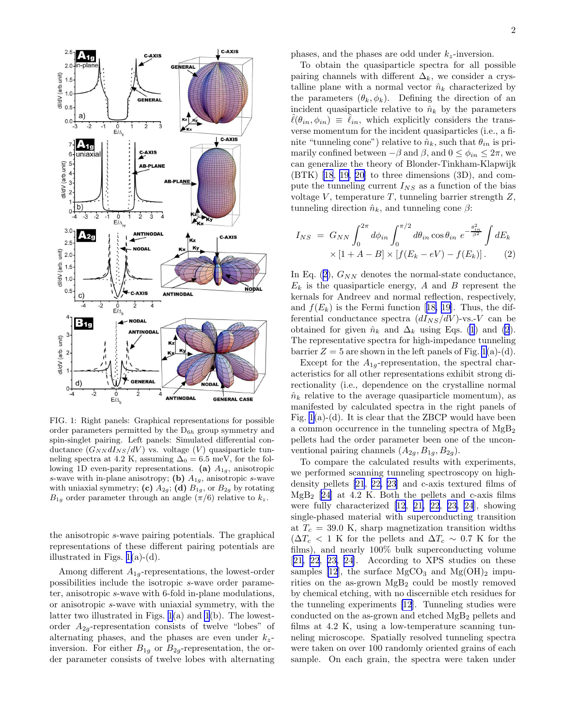<span id="page-1-0"></span>

FIG. 1: Right panels: Graphical representations for possible order parameters permitted by the  $D_{6h}$  group symmetry and spin-singlet pairing. Left panels: Simulated differential conductance  $(G_{NN}dI_{NS}/dV)$  vs. voltage  $(V)$  quasiparticle tunneling spectra at 4.2 K, assuming  $\Delta_0 = 6.5$  meV, for the following 1D even-parity representations. (a)  $A_{1g}$ , anisotropic s-wave with in-plane anisotropy; (b)  $A_{1g}$ , anisotropic s-wave with uniaxial symmetry; (c)  $A_{2g}$ ; (d)  $B_{1g}$ , or  $B_{2g}$  by rotating  $B_{1g}$  order parameter through an angle  $(\pi/6)$  relative to  $k_z$ .

the anisotropic s-wave pairing potentials. The graphical representations of these different pairing potentials are illustrated in Figs.  $1(a)-(d)$ .

Among different  $A_{1q}$ -representations, the lowest-order possibilities include the isotropic s-wave order parameter, anisotropic s-wave with 6-fold in-plane modulations, or anisotropic s-wave with uniaxial symmetry, with the latter two illustrated in Figs. 1(a) and 1(b). The lowestorder  $A_{2q}$ -representation consists of twelve "lobes" of alternating phases, and the phases are even under  $k_z$ inversion. For either  $B_{1g}$  or  $B_{2g}$ -representation, the order parameter consists of twelve lobes with alternating

phases, and the phases are odd under  $k_z$ -inversion.

To obtain the quasiparticle spectra for all possible pairing channels with different  $\Delta_k$ , we consider a crystalline plane with a normal vector  $\hat{n}_k$  characterized by the parameters  $(\theta_k, \phi_k)$ . Defining the direction of an incident quasiparticle relative to  $\hat{n}_k$  by the parameters  $\ell(\theta_{in}, \phi_{in}) \equiv \ell_{in}$ , which explicitly considers the transverse momentum for the incident quasiparticles (i.e., a finite "tunneling cone") relative to  $\hat{n}_k$ , such that  $\theta_{in}$  is primarily confined between  $-\beta$  and  $\beta$ , and  $0 \leq \phi_{in} \leq 2\pi$ , we can generalize the theory of Blonder-Tinkham-Klapwijk (BTK) [\[18](#page-3-0), [19](#page-3-0), [20\]](#page-3-0) to three dimensions (3D), and compute the tunneling current  $I_{NS}$  as a function of the bias voltage  $V$ , temperature  $T$ , tunneling barrier strength  $Z$ , tunneling direction  $\hat{n}_k$ , and tunneling cone  $\beta$ :

$$
I_{NS} = G_{NN} \int_0^{2\pi} d\phi_{in} \int_0^{\pi/2} d\theta_{in} \cos \theta_{in} e^{-\frac{\theta_{in}^2}{\beta^2}} \int dE_k
$$
  
 
$$
\times [1 + A - B] \times [f(E_k - eV) - f(E_k)]. \tag{2}
$$

In Eq. (2),  $G_{NN}$  denotes the normal-state conductance,  $E_k$  is the quasiparticle energy, A and B represent the kernals for Andreev and normal reflection, respectively, and $f(E_k)$  is the Fermi function [[18, 19\]](#page-3-0). Thus, the differential conductance spectra  $(dI_{NS}/dV)$ -vs.-V can be obtained for given  $\hat{n}_k$  and  $\Delta_k$  using Eqs. [\(1](#page-0-0)) and (2). The representative spectra for high-impedance tunneling barrier  $Z = 5$  are shown in the left panels of Fig. 1(a)-(d).

Except for the  $A_{1q}$ -representation, the spectral characteristics for all other representations exhibit strong directionality (i.e., dependence on the crystalline normal  $\hat{n}_k$  relative to the average quasiparticle momentum), as manifested by calculated spectra in the right panels of Fig. 1(a)-(d). It is clear that the ZBCP would have been a common occurrence in the tunneling spectra of  $MgB<sub>2</sub>$ pellets had the order parameter been one of the unconventional pairing channels  $(A_{2g}, B_{1g}, B_{2g})$ .

To compare the calculated results with experiments, we performed scanning tunneling spectroscopy on highdensity pellets [\[21](#page-3-0), [22,](#page-3-0) [23\]](#page-4-0) and c-axis textured films of  $MgB<sub>2</sub>$  [\[24](#page-4-0)] at 4.2 K. Both the pellets and c-axis films were fully characterized [\[12](#page-3-0), [21, 22](#page-3-0), [23, 24](#page-4-0)], showing single-phased material with superconducting transition at  $T_c = 39.0$  K, sharp magnetization transition widths  $(\Delta T_c < 1 \text{ K}$  for the pellets and  $\Delta T_c \sim 0.7 \text{ K}$  for the films), and nearly 100% bulk superconducting volume [[21, 22](#page-3-0), [23, 24\]](#page-4-0). According to XPS studies on these samples [\[12](#page-3-0)], the surface  $MgCO<sub>3</sub>$  and  $Mg(OH)<sub>2</sub>$  impurities on the as-grown  $MgB<sub>2</sub>$  could be mostly removed by chemical etching, with no discernible etch residues for the tunneling experiments[[12\]](#page-3-0). Tunneling studies were conducted on the as-grown and etched  $MgB<sub>2</sub>$  pellets and films at 4.2 K, using a low-temperature scanning tunneling microscope. Spatially resolved tunneling spectra were taken on over 100 randomly oriented grains of each sample. On each grain, the spectra were taken under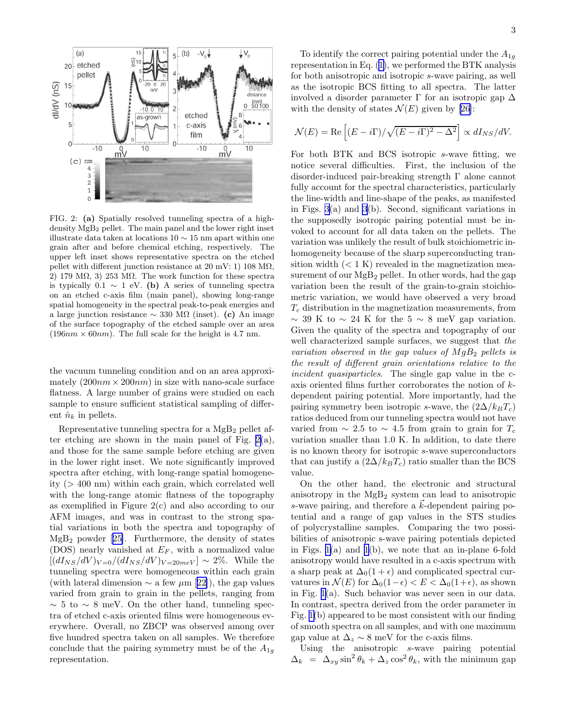

FIG. 2: (a) Spatially resolved tunneling spectra of a highdensity MgB<sup>2</sup> pellet. The main panel and the lower right inset illustrate data taken at locations 10 ∼ 15 nm apart within one grain after and before chemical etching, respectively. The upper left inset shows representative spectra on the etched pellet with different junction resistance at  $20 \text{ mV}$ : 1)  $108 \text{ M}\Omega$ , 2) 179 M $\Omega$ , 3) 253 M $\Omega$ . The work function for these spectra is typically 0.1  $\sim$  1 eV. (b) A series of tunneling spectra on an etched c-axis film (main panel), showing long-range spatial homogeneity in the spectral peak-to-peak energies and a large junction resistance  $\sim$  330 M $\Omega$  (inset). (c) An image of the surface topography of the etched sample over an area  $(196nm \times 60nm)$ . The full scale for the height is 4.7 nm.

the vacuum tunneling condition and on an area approximately  $(200nm \times 200nm)$  in size with nano-scale surface flatness. A large number of grains were studied on each sample to ensure sufficient statistical sampling of different  $\hat{n}_k$  in pellets.

Representative tunneling spectra for a  $MgB<sub>2</sub>$  pellet after etching are shown in the main panel of Fig.  $2(a)$ , and those for the same sample before etching are given in the lower right inset. We note significantly improved spectra after etching, with long-range spatial homogeneity (> 400 nm) within each grain, which correlated well with the long-range atomic flatness of the topography as exemplified in Figure 2(c) and also according to our AFM images, and was in contrast to the strong spatial variations in both the spectra and topography of  $MgB<sub>2</sub>$ powder [[25\]](#page-4-0). Furthermore, the density of states (DOS) nearly vanished at  $E_F$ , with a normalized value  $\left[\frac{dI_{NS}}{dV}\right]_{V=0}/\frac{dI_{NS}}{dV}\right]_{V=20meV} \sim 2\%.$  While the tunneling spectra were homogeneous within each grain (withlateral dimension  $\sim$  a few  $\mu$ m [[22\]](#page-3-0)), the gap values varied from grain to grain in the pellets, ranging from  $\sim$  5 to  $\sim$  8 meV. On the other hand, tunneling spectra of etched c-axis oriented films were homogeneous everywhere. Overall, no ZBCP was observed among over five hundred spectra taken on all samples. We therefore conclude that the pairing symmetry must be of the  $A_{1g}$ representation.

To identify the correct pairing potential under the  $A_{1q}$ representation in Eq.([1\)](#page-0-0), we performed the BTK analysis for both anisotropic and isotropic s-wave pairing, as well as the isotropic BCS fitting to all spectra. The latter involved a disorder parameter  $\Gamma$  for an isotropic gap  $\Delta$ with the density of states  $\mathcal{N}(E)$  given by [\[26](#page-4-0)]:

$$
\mathcal{N}(E) = \text{Re}\left[ (E - i\Gamma) / \sqrt{(E - i\Gamma)^2 - \Delta^2} \right] \propto dI_{NS}/dV.
$$

For both BTK and BCS isotropic s-wave fitting, we notice several difficulties. First, the inclusion of the disorder-induced pair-breaking strength Γ alone cannot fully account for the spectral characteristics, particularly the line-width and line-shape of the peaks, as manifested in Figs. [3](#page-3-0)(a) and [3](#page-3-0)(b). Second, significant variations in the supposedly isotropic pairing potential must be invoked to account for all data taken on the pellets. The variation was unlikely the result of bulk stoichiometric inhomogeneity because of the sharp superconducting transition width  $(< 1 K)$  revealed in the magnetization measurement of our  $MgB_2$  pellet. In other words, had the gap variation been the result of the grain-to-grain stoichiometric variation, we would have observed a very broad  $T_c$  distribution in the magnetization measurements, from  $\sim$  39 K to  $\sim$  24 K for the 5  $\sim$  8 meV gap variation. Given the quality of the spectra and topography of our well characterized sample surfaces, we suggest that the variation observed in the gap values of  $MgB<sub>2</sub>$  pellets is the result of different grain orientations relative to the incident quasiparticles. The single gap value in the caxis oriented films further corroborates the notion of kdependent pairing potential. More importantly, had the pairing symmetry been isotropic s-wave, the  $(2\Delta/k_BT_c)$ ratios deduced from our tunneling spectra would not have varied from  $\sim 2.5$  to  $\sim 4.5$  from grain to grain for  $T_c$ variation smaller than 1.0 K. In addition, to date there is no known theory for isotropic s-wave superconductors that can justify a  $(2\Delta/k_BT_c)$  ratio smaller than the BCS value.

On the other hand, the electronic and structural anisotropy in the  $MgB<sub>2</sub>$  system can lead to anisotropic s-wave pairing, and therefore a  $k$ -dependent pairing potential and a range of gap values in the STS studies of polycrystalline samples. Comparing the two possibilities of anisotropic s-wave pairing potentials depicted in Figs.  $1(a)$  and  $1(b)$ , we note that an in-plane 6-fold anisotropy would have resulted in a c-axis spectrum with a sharp peak at  $\Delta_0(1+\epsilon)$  and complicated spectral curvatures in  $\mathcal{N}(E)$  for  $\Delta_0(1-\epsilon) < E < \Delta_0(1+\epsilon)$ , as shown in Fig. [1\(](#page-1-0)a). Such behavior was never seen in our data. In contrast, spectra derived from the order parameter in Fig. [1\(](#page-1-0)b) appeared to be most consistent with our finding of smooth spectra on all samples, and with one maximum gap value at  $\Delta_z \sim 8$  meV for the c-axis films.

Using the anisotropic s-wave pairing potential  $\Delta_k = \Delta_{xy} \sin^2 \theta_k + \Delta_z \cos^2 \theta_k$ , with the minimum gap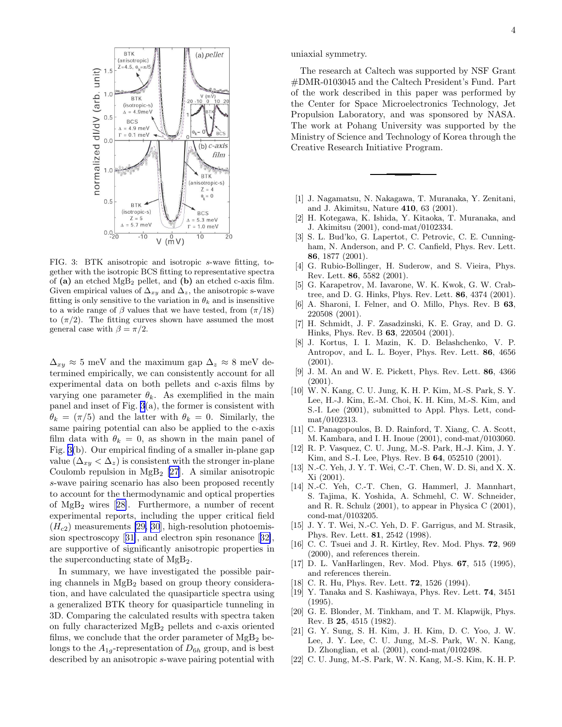<span id="page-3-0"></span>

FIG. 3: BTK anisotropic and isotropic s-wave fitting, together with the isotropic BCS fitting to representative spectra of  $(a)$  an etched MgB<sub>2</sub> pellet, and  $(b)$  an etched c-axis film. Given empirical values of  $\Delta_{xy}$  and  $\Delta_z$ , the anisotropic s-wave fitting is only sensitive to the variation in  $\theta_k$  and is insensitive to a wide range of  $\beta$  values that we have tested, from  $(\pi/18)$ to  $(\pi/2)$ . The fitting curves shown have assumed the most general case with  $\beta = \pi/2$ .

 $\Delta_{xy} \approx 5$  meV and the maximum gap  $\Delta_z \approx 8$  meV determined empirically, we can consistently account for all experimental data on both pellets and c-axis films by varying one parameter  $\theta_k$ . As exemplified in the main panel and inset of Fig. 3(a), the former is consistent with  $\theta_k = (\pi/5)$  and the latter with  $\theta_k = 0$ . Similarly, the same pairing potential can also be applied to the c-axis film data with  $\theta_k = 0$ , as shown in the main panel of Fig. 3(b). Our empirical finding of a smaller in-plane gap value  $(\Delta_{xy} < \Delta_z)$  is consistent with the stronger in-plane Coulomb repulsion in  $MgB_2$  [[27\]](#page-4-0). A similar anisotropic s-wave pairing scenario has also been proposed recently to account for the thermodynamic and optical properties of MgB2 wires[[28\]](#page-4-0). Furthermore, a number of recent experimental reports, including the upper critical field  $(H<sub>c2</sub>)$  measurements [\[29, 30](#page-4-0)], high-resolution photoemission spectroscopy[[31\]](#page-4-0), and electron spin resonance[[32\]](#page-4-0), are supportive of significantly anisotropic properties in the superconducting state of MgB2.

In summary, we have investigated the possible pairing channels in  $MgB<sub>2</sub>$  based on group theory consideration, and have calculated the quasiparticle spectra using a generalized BTK theory for quasiparticle tunneling in 3D. Comparing the calculated results with spectra taken on fully characterized MgB<sup>2</sup> pellets and c-axis oriented films, we conclude that the order parameter of  $MgB<sub>2</sub>$  belongs to the  $A_{1a}$ -representation of  $D_{6h}$  group, and is best described by an anisotropic s-wave pairing potential with

uniaxial symmetry.

The research at Caltech was supported by NSF Grant #DMR-0103045 and the Caltech President's Fund. Part of the work described in this paper was performed by the Center for Space Microelectronics Technology, Jet Propulsion Laboratory, and was sponsored by NASA. The work at Pohang University was supported by the Ministry of Science and Technology of Korea through the Creative Research Initiative Program.

- [1] J. Nagamatsu, N. Nakagawa, T. Muranaka, Y. Zenitani, and J. Akimitsu, Nature 410, 63 (2001).
- [2] H. Kotegawa, K. Ishida, Y. Kitaoka, T. Muranaka, and J. Akimitsu (2001), cond-mat/0102334.
- [3] S. L. Bud'ko, G. Lapertot, C. Petrovic, C. E. Cunningham, N. Anderson, and P. C. Canfield, Phys. Rev. Lett. 86, 1877 (2001).
- [4] G. Rubio-Bollinger, H. Suderow, and S. Vieira, Phys. Rev. Lett. 86, 5582 (2001).
- [5] G. Karapetrov, M. Iavarone, W. K. Kwok, G. W. Crabtree, and D. G. Hinks, Phys. Rev. Lett. 86, 4374 (2001).
- [6] A. Sharoni, I. Felner, and O. Millo, Phys. Rev. B 63, 220508 (2001).
- [7] H. Schmidt, J. F. Zasadzinski, K. E. Gray, and D. G. Hinks, Phys. Rev. B 63, 220504 (2001).
- [8] J. Kortus, I. I. Mazin, K. D. Belashchenko, V. P. Antropov, and L. L. Boyer, Phys. Rev. Lett. 86, 4656 (2001).
- [9] J. M. An and W. E. Pickett, Phys. Rev. Lett. 86, 4366 (2001).
- [10] W. N. Kang, C. U. Jung, K. H. P. Kim, M.-S. Park, S. Y. Lee, H.-J. Kim, E.-M. Choi, K. H. Kim, M.-S. Kim, and S.-I. Lee (2001), submitted to Appl. Phys. Lett, condmat/0102313.
- [11] C. Panagopoulos, B. D. Rainford, T. Xiang, C. A. Scott, M. Kambara, and I. H. Inoue (2001), cond-mat/0103060.
- [12] R. P. Vasquez, C. U. Jung, M.-S. Park, H.-J. Kim, J. Y. Kim, and S.-I. Lee, Phys. Rev. B 64, 052510 (2001).
- [13] N.-C. Yeh, J. Y. T. Wei, C.-T. Chen, W. D. Si, and X. X. Xi (2001).
- [14] N.-C. Yeh, C.-T. Chen, G. Hammerl, J. Mannhart, S. Tajima, K. Yoshida, A. Schmehl, C. W. Schneider, and R. R. Schulz (2001), to appear in Physica C (2001), cond-mat/0103205.
- [15] J. Y. T. Wei, N.-C. Yeh, D. F. Garrigus, and M. Strasik, Phys. Rev. Lett. 81, 2542 (1998).
- [16] C. C. Tsuei and J. R. Kirtley, Rev. Mod. Phys. 72, 969 (2000), and references therein.
- [17] D. L. VanHarlingen, Rev. Mod. Phys. 67, 515 (1995), and references therein.
- [18] C. R. Hu, Phys. Rev. Lett. **72**, 1526 (1994).
- [19] Y. Tanaka and S. Kashiwaya, Phys. Rev. Lett. **74**, 3451 (1995).
- [20] G. E. Blonder, M. Tinkham, and T. M. Klapwijk, Phys. Rev. B 25, 4515 (1982).
- [21] G. Y. Sung, S. H. Kim, J. H. Kim, D. C. Yoo, J. W. Lee, J. Y. Lee, C. U. Jung, M.-S. Park, W. N. Kang, D. Zhonglian, et al. (2001), cond-mat/0102498.
- [22] C. U. Jung, M.-S. Park, W. N. Kang, M.-S. Kim, K. H. P.